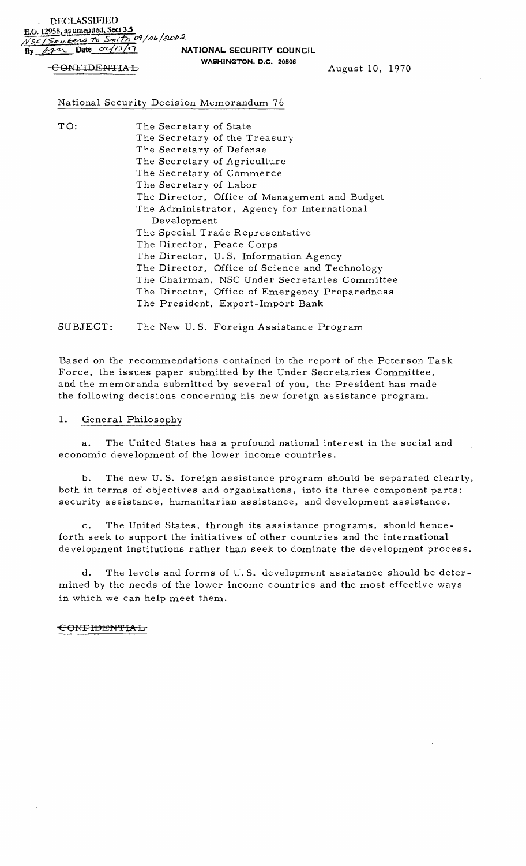DECLASSIFIED E.O. 12958, as amended, Sect 3.5 *d...SC-!* >e> :;-;,;;;:;;;;;, *S".,;f5l 0'1/t>40* / ~j)~

By *Lyn* Date  $\frac{\partial^2 f}{\partial x^2}$  **NATIONAL SECURITY COUNCIL WASHINGTON,** D.C. 20506

GONFIDENTIAL MAGAINSTON, S.C. 20000 August 10, 1970

# National Security Decision Memorandum 76

| TO: | The Secretary of State                         |
|-----|------------------------------------------------|
|     | The Secretary of the Treasury                  |
|     | The Secretary of Defense                       |
|     | The Secretary of Agriculture                   |
|     | The Secretary of Commerce                      |
|     | The Secretary of Labor                         |
|     | The Director, Office of Management and Budget  |
|     | The Administrator, Agency for International    |
|     | Development                                    |
|     | The Special Trade Representative               |
|     | The Director, Peace Corps                      |
|     | The Director, U.S. Information Agency          |
|     | The Director, Office of Science and Technology |
|     | The Chairman, NSC Under Secretaries Committee  |
|     | The Director, Office of Emergency Preparedness |
|     | The President, Export-Import Bank              |
|     |                                                |

SUBJECT: The New U.S. Foreign Assistance Program

Based on the recommendations contained in the report of the Peterson Task Force, the issues paper submitted by the Under Secretaries Committee, and the memoranda submitted by several of you, the President has made the following decisions concerning his new foreign assistance program.

## 1. General Philosophy

a. The United States has a profound national interest in the social and economic development of the lower income countries.

b. The new U. S. foreign assistance program should be separated clearly, both in terms of objectives and organizations, into its three component parts: security assistance, humanitarian assistance, and development assistance.

c. The United States, through its assistance programs, should henceforth seek to support the initiatives of other countries and the international development institutions rather than seek to dominate the development process.

d. The levels and forms of U. S. development assistance should be determined by the needs of the lower income countries and the most effective ways in which we can help meet them.

#### CONFIDENTIAL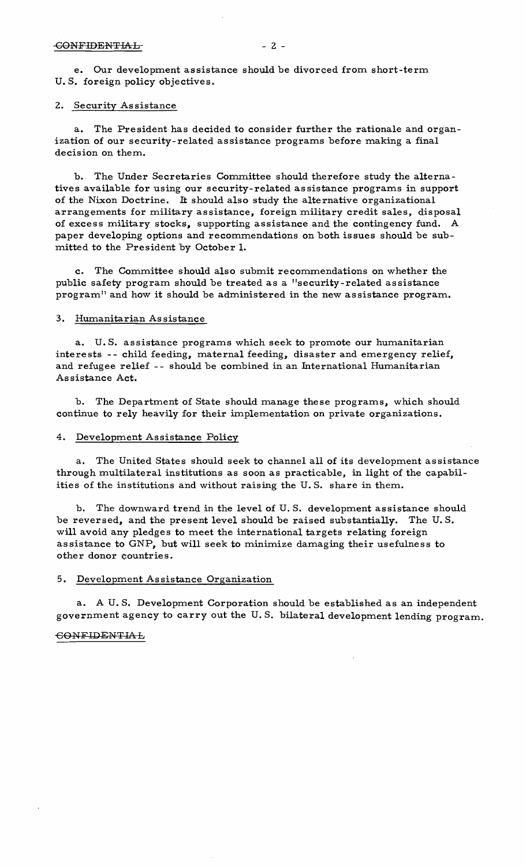e. Our development assistance should be divorced from short-term U. S. foreign policy objectives.

## 2. Security Assistance

a. The President has decided to consider further the rationale and organization of our security-related assistance programs before making a final decision on them.

b. The Under Secretaries Committee should therefore study the alternatives available for using our security-related assistance programs in support of the Nixon Doctrine. It should also study the alternative organizational arrangements for military assistance, foreign military credit sales, disposal of excess military stocks, supporting assistance and the contingency fund. A paper developing options and recommendations on both issues should be submitted to the President by October 1.

c. The Committee should also submit recommendations on whether the public safety program should be treated as a "security-related assistance program" and how it should be administered in the new assistance program.

## 3. Humanitarian Assistance

a. U. S. assistance programs which seek to promote our humanitarian interests - - child feeding, maternal feeding, disaster and emergency relief, and refugee relief -- should be combined in an International Humanitarian As sistance Act.

b. The Department of State should manage these programs, which should continue to rely heavily for their implementation on private organizations.

## 4. Development Assistance Policy

a. The United States should seek to channel all of its development assistance through multilateral institutions as soon as practicable, in light of the capabilities of the institutions and without raising the U. S. share in them.

The downward trend in the level of U.S. development assistance should be reversed, and the present level should be raised substantially. The U. S. will avoid any pledges to meet the international targets relating foreign assistance to GNP, but will seek to minimize damaging their usefulness to other donor countries.

## 5. Development Assistance Organization

a. A U. S. Development Corporation should be established as an independent government agency to carry out the U. S. bilateral development lending program.

### **CONFIDENTIAL**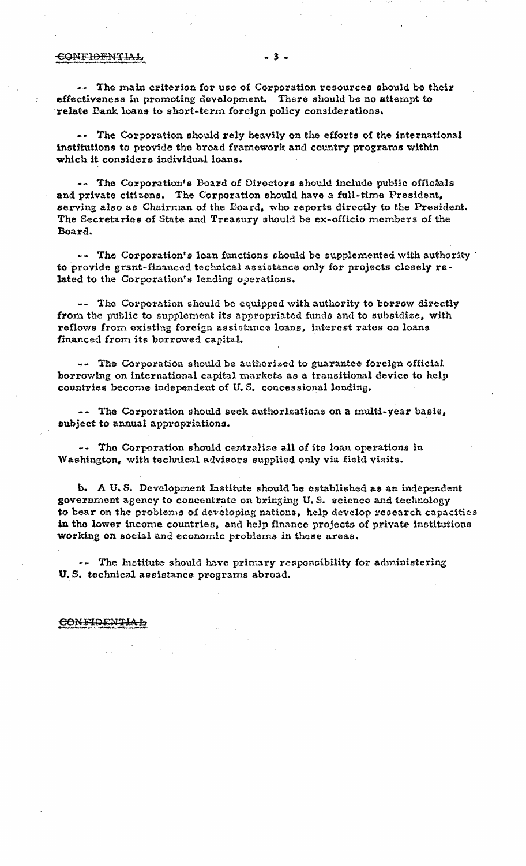#### <del>CONFIDENTIAL</del>

-- The main criterion for use of Corporation resources should be their effectiveness in promoting development. There should be no attempt to relate Bank loans to short-term foreign policy considerations.

-- The Corporation should rely heavily on the efforts of the international institutions to provide the broad framework and country programs within which it considers individual loans.

-- The Corporation's Board of Directors should include public officials and private citizens. The Corporation should have a full-time President, serving also as Chairman of the Board, who reports directly to the President. The Secretaries of State and Treasury should be ex-officio members of the Board.

-- The Corporation's loan functions should be supplemented with authority to provide grant-financed technical assistance only for projects closely related to the Corporation's lending operations.

-- The Corporation should be equipped with authority to borrow directly from the public to supplement its appropriated funds and to subsidize, with reflows from existing foreign assistance loans, interest rates on loans financed from its borrowed capital.

-- The Corporation should be authorized to guarantee foreign official borrowing on international capital markets as a transitional device to help countries become independent of U.S. concessional lending.

-- The Corporation should seek authorizations on a multi-year basis, subject to annual appropriations.

-- The Corporation should centralize all of its loan operations in Washington, with technical advisors supplied only via field visits.

b. A U.S. Development Institute should be established as an independent government agency to concentrate on bringing U.S. science and technology to bear on the problems of developing nations, help develop research capacities in the lower income countries, and help finance projects of private institutions working on social and economic problems in these areas.

-- The Institute should have primary responsibility for administering U.S. technical assistance programs abroad.

## CONFIDENTIAL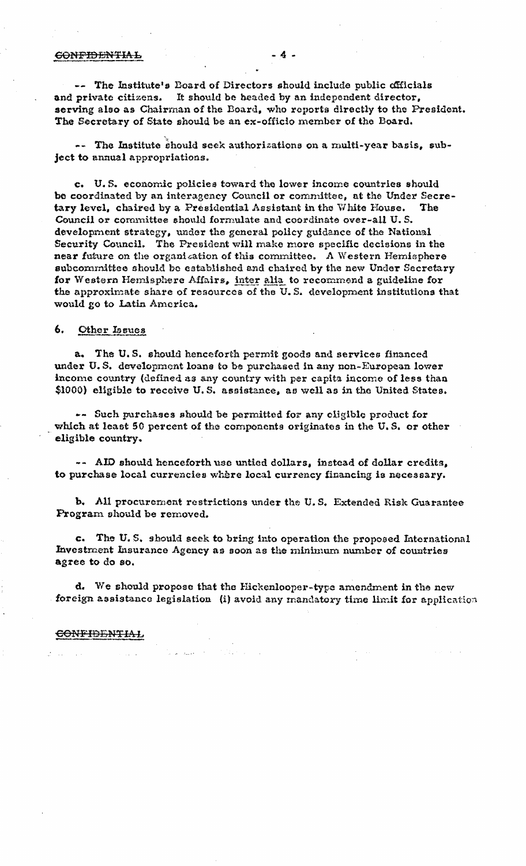### **GONFIDENTIAL**

-- The Institute's Board of Directors should include public officials It should be beaded by an independent director, and private citizens. serving also as Chairman of the Board, who reports directly to the President. The Secretary of State should be an ex-officio member of the Board.

-- The Institute should seek authorizations on a multi-year basis, subject to annual appropriations.

c. U.S. economic policies toward the lower income countries should be coordinated by an interagency Council or committee, at the Under Secretary level, chaired by a Presidential Assistant in the White House. The Council or committee should formulate and coordinate over-all U.S. development strategy, under the general policy guidance of the National Security Council. The President will make more specific decisions in the near future on the organization of this committee. A Western Hemisphere subcommittee should be established and chaired by the new Under Secretary for Western Hemisphere Affairs, inter alia to recommend a guideline for the approximate share of resources of the U.S. development institutions that would go to Latin America.

#### 6. Other Issues

a. The U.S. should henceforth permit goods and services financed under U.S. development loans to be purchased in any non-European lower income country (defined as any country with per capita income of less than \$1000) eligible to receive U.S. assistance, as well as in the United States.

-- Such purchases should be permitted for any eligible product for which at least 50 percent of the components originates in the U.S. or other eligible country.

-- AID should henceforth use untied dollars, instead of dollar credits, to purchase local currencies where local currency financing is necessary.

b. All procurement restrictions under the U.S. Extended Risk Guarantee Program should be removed.

c. The U.S. should seek to bring into operation the proposed International Investment Insurance Agency as soon as the minimum number of countries agree to do so.

d. We should propose that the Hickenlooper-type amendment in the new foreign assistance legislation (i) avoid any mandatory time limit for application

### <u>CONFIDENTIAL</u>